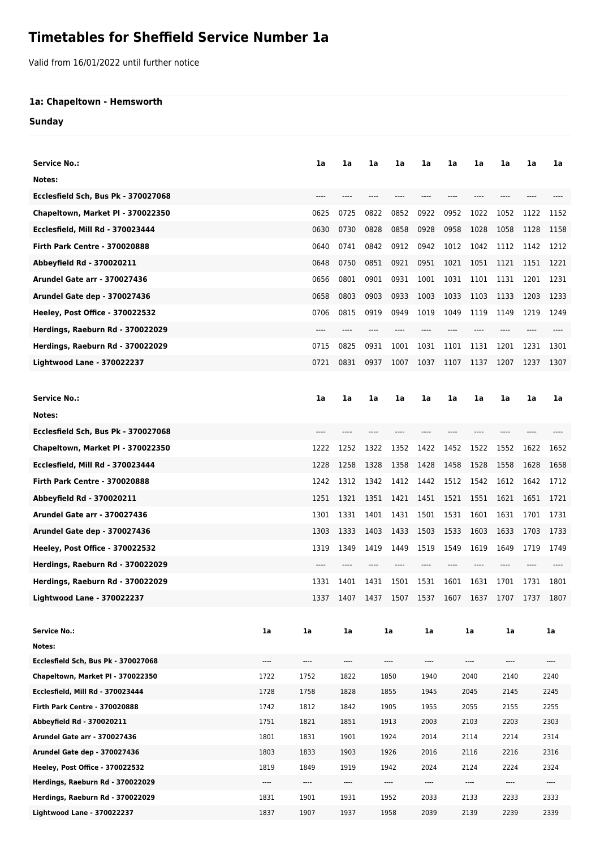## **Timetables for Sheffield Service Number 1a**

Valid from 16/01/2022 until further notice

## **1a: Chapeltown - Hemsworth**

**Sunday**

| <b>Service No.:</b>                                                      |                  | 1a               | 1a                       | 1a                       | 1a               | 1a           | 1a               | 1a           | 1a    | 1a                           | 1a   |  |
|--------------------------------------------------------------------------|------------------|------------------|--------------------------|--------------------------|------------------|--------------|------------------|--------------|-------|------------------------------|------|--|
|                                                                          |                  |                  |                          |                          |                  |              |                  |              |       |                              |      |  |
| Notes:                                                                   |                  |                  |                          |                          |                  |              |                  |              |       |                              |      |  |
| Ecclesfield Sch, Bus Pk - 370027068                                      |                  |                  |                          |                          |                  |              |                  |              |       |                              |      |  |
| Chapeltown, Market PI - 370022350                                        |                  | 0625             | 0725                     | 0822                     | 0852             | 0922         | 0952             | 1022         | 1052  | 1122                         | 1152 |  |
| Ecclesfield, Mill Rd - 370023444                                         |                  | 0630             | 0730                     | 0828                     | 0858             | 0928         | 0958             | 1028         | 1058  | 1128                         | 1158 |  |
| <b>Firth Park Centre - 370020888</b>                                     |                  | 0640             | 0741                     | 0842                     | 0912             | 0942         | 1012             | 1042         | 1112  | 1142                         | 1212 |  |
| Abbeyfield Rd - 370020211                                                |                  | 0648             | 0750                     | 0851                     | 0921             | 0951         | 1021             | 1051         | 1121  | 1151                         | 1221 |  |
| <b>Arundel Gate arr - 370027436</b>                                      |                  | 0656             | 0801                     | 0901                     | 0931             | 1001         | 1031             | 1101         | 1131  | 1201                         | 1231 |  |
| Arundel Gate dep - 370027436                                             |                  | 0658             | 0803                     | 0903                     | 0933             | 1003         | 1033             | 1103         | 1133  | 1203                         | 1233 |  |
| Heeley, Post Office - 370022532                                          |                  | 0706             | 0815                     | 0919                     | 0949             | 1019         | 1049             | 1119         | 1149  | 1219                         | 1249 |  |
| Herdings, Raeburn Rd - 370022029                                         |                  |                  |                          |                          |                  |              |                  |              |       |                              |      |  |
| Herdings, Raeburn Rd - 370022029                                         |                  | 0715             | 0825                     | 0931                     | 1001             | 1031         | 1101             | 1131         | 1201  | 1231                         | 1301 |  |
| <b>Lightwood Lane - 370022237</b>                                        |                  | 0721             | 0831                     | 0937                     | 1007             | 1037         | 1107             | 1137         | 1207  | 1237                         | 1307 |  |
|                                                                          |                  |                  |                          |                          |                  |              |                  |              |       |                              |      |  |
| <b>Service No.:</b>                                                      |                  | 1a               | 1a                       | 1a                       | 1a               | 1a           | 1a               | 1a           | 1a    | 1a                           | 1a   |  |
| Notes:                                                                   |                  |                  |                          |                          |                  |              |                  |              |       |                              |      |  |
| Ecclesfield Sch, Bus Pk - 370027068                                      |                  | ----             |                          |                          |                  |              |                  |              |       |                              |      |  |
| Chapeltown, Market PI - 370022350                                        |                  | 1222             | 1252                     | 1322                     | 1352             | 1422         | 1452             | 1522         | 1552  | 1622                         | 1652 |  |
| Ecclesfield, Mill Rd - 370023444                                         |                  | 1228             | 1258                     | 1328                     | 1358             | 1428         | 1458             | 1528         | 1558  | 1628                         | 1658 |  |
| <b>Firth Park Centre - 370020888</b>                                     |                  | 1242             | 1312                     | 1342                     | 1412             | 1442         | 1512             | 1542         | 1612  | 1642                         | 1712 |  |
| Abbeyfield Rd - 370020211                                                |                  | 1251             | 1321                     | 1351                     | 1421             | 1451         | 1521             | 1551         | 1621  | 1651                         | 1721 |  |
| <b>Arundel Gate arr - 370027436</b>                                      |                  | 1301             | 1331                     | 1401                     | 1431             | 1501         | 1531             | 1601         | 1631  | 1701                         | 1731 |  |
| Arundel Gate dep - 370027436                                             |                  | 1303             | 1333                     | 1403                     | 1433             | 1503         | 1533             | 1603         | 1633  | 1703                         | 1733 |  |
| Heeley, Post Office - 370022532                                          |                  | 1319             |                          |                          |                  |              |                  |              |       |                              |      |  |
|                                                                          |                  |                  | 1349                     | 1419                     | 1449             | 1519         | 1549             | 1619         | 1649  | 1719                         | 1749 |  |
| Herdings, Raeburn Rd - 370022029                                         |                  | $---$            | ----                     |                          |                  |              | $---$            | $---$        | $---$ |                              |      |  |
| Herdings, Raeburn Rd - 370022029                                         |                  | 1331             | 1401                     | 1431                     | 1501             | 1531         | 1601             | 1631         | 1701  | 1731                         | 1801 |  |
| <b>Lightwood Lane - 370022237</b>                                        |                  | 1337             | 1407                     | 1437                     | 1507             | 1537         | 1607             | 1637         | 1707  | 1737                         | 1807 |  |
|                                                                          |                  |                  |                          |                          |                  |              |                  |              |       |                              |      |  |
| <b>Service No.:</b>                                                      | 1a               | 1a               | 1a                       |                          | 1a               | 1a           |                  | 1a           | 1a    |                              | 1a   |  |
| Notes:                                                                   |                  |                  |                          |                          |                  |              |                  |              |       |                              |      |  |
| Ecclesfield Sch, Bus Pk - 370027068<br>Chapeltown, Market PI - 370022350 | $\cdots$<br>1722 | $\cdots$<br>1752 | $\cdots$<br>1822         |                          | $\cdots$<br>1850 | ----<br>1940 | $\cdots$<br>2040 |              |       | ----<br>----<br>2140<br>2240 |      |  |
| Ecclesfield, Mill Rd - 370023444                                         | 1728             | 1758             | 1828                     |                          | 1855             | 1945         | 2045             |              |       | 2245<br>2145                 |      |  |
| <b>Firth Park Centre - 370020888</b>                                     | 1742             | 1812             | 1842                     |                          | 1905             | 1955         |                  | 2055<br>2155 |       | 2255                         |      |  |
| Abbeyfield Rd - 370020211                                                | 1751             | 1821             | 1851                     |                          | 1913             | 2003         |                  | 2103         | 2203  |                              | 2303 |  |
| Arundel Gate arr - 370027436                                             | 1801             | 1831             | 1901                     |                          | 1924<br>2014     |              |                  | 2114         | 2214  | 2314                         |      |  |
| Arundel Gate dep - 370027436                                             | 1803             | 1833             | 1903                     | 1926                     |                  | 2016         | 2116             |              | 2216  | 2316                         |      |  |
| Heeley, Post Office - 370022532                                          | 1819             | 1849             | 1919                     | 1942                     |                  | 2024         | 2124             |              | 2224  | 2324                         |      |  |
| Herdings, Raeburn Rd - 370022029                                         | ----             | ----             | $\overline{\phantom{a}}$ | $\overline{\phantom{a}}$ |                  | ----         | $\cdots$         |              | ----  | $\cdots$                     |      |  |
| Herdings, Raeburn Rd - 370022029                                         | 1831             | 1901             | 1931                     |                          | 1952             | 2033         |                  | 2133         | 2233  |                              | 2333 |  |
| <b>Lightwood Lane - 370022237</b>                                        | 1837             | 1907             | 1937                     |                          | 1958             | 2039         |                  | 2139         | 2239  |                              | 2339 |  |